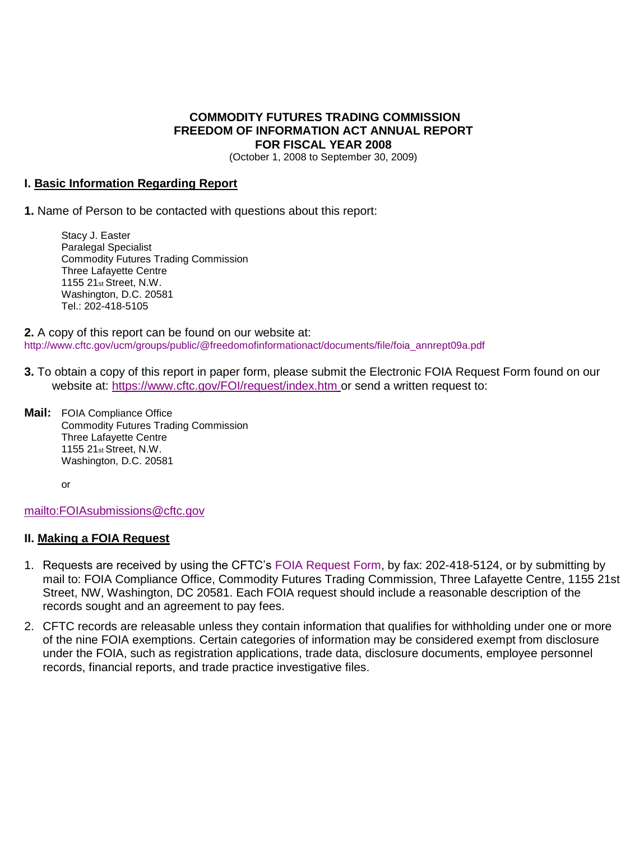#### **COMMODITY FUTURES TRADING COMMISSION FREEDOM OF INFORMATION ACT ANNUAL REPORT FOR FISCAL YEAR 2008**

(October 1, 2008 to September 30, 2009)

#### **I. Basic Information Regarding Report**

**1.** Name of Person to be contacted with questions about this report:

Stacy J. Easter Paralegal Specialist Commodity Futures Trading Commission Three Lafayette Centre 1155 21st Street, N.W. Washington, D.C. 20581 Tel.: 202-418-5105

**2.** A copy of this report can be found on our website at: [http://www.cftc.gov/ucm/groups/public/@freedomofinformationact/documents/file/foia\\_annrept09a.pdf](http://www.cftc.gov/ucm/groups/public/@freedomofinformationact/documents/file/foia_annrept09a.pdf)

- **3.** To obtain a copy of this report in paper form, please submit the Electronic FOIA Request Form found on our website at:<https://www.cftc.gov/FOI/request/index.htm> or send a written request to:
- **Mail:** FOIA Compliance Office Commodity Futures Trading Commission Three Lafayette Centre 1155 21st Street, N.W. Washington, D.C. 20581

or

<mailto:FOIAsubmissions@cftc.gov>

#### **II. Making a FOIA Request**

- 1. Requests are received by using the CFTC's [FOIA Request Form,](https://www.cftc.gov/FOI/request/index.htm) by fax: 202-418-5124, or by submitting by mail to: FOIA Compliance Office, Commodity Futures Trading Commission, Three Lafayette Centre, 1155 21st Street, NW, Washington, DC 20581. Each FOIA request should include a reasonable description of the records sought and an agreement to pay fees.
- 2. CFTC records are releasable unless they contain information that qualifies for withholding under one or more of the nine FOIA exemptions. Certain categories of information may be considered exempt from disclosure under the FOIA, such as registration applications, trade data, disclosure documents, employee personnel records, financial reports, and trade practice investigative files.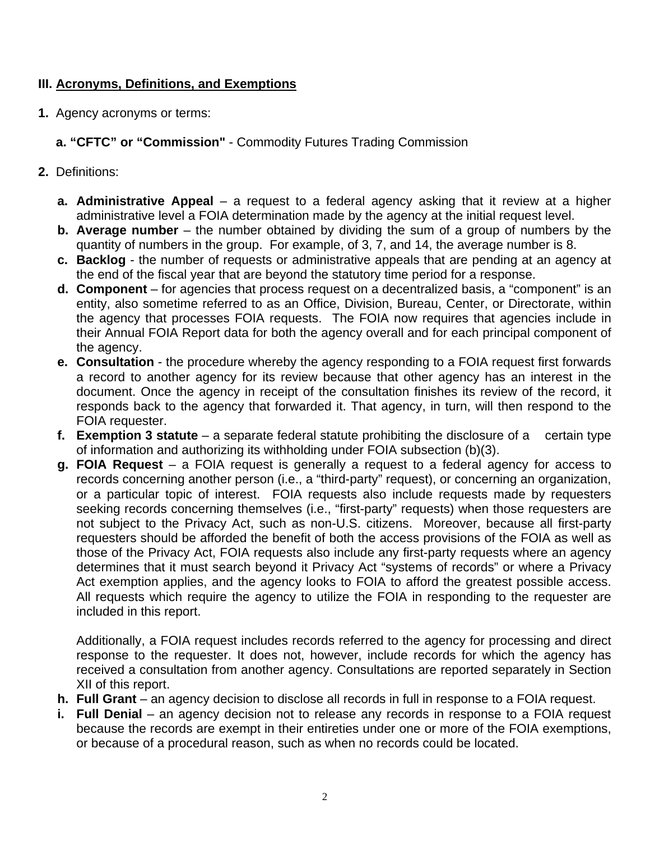#### **III. Acronyms, Definitions, and Exemptions**

- **1.** Agency acronyms or terms:
	- **a. "CFTC" or "Commission"** Commodity Futures Trading Commission
- **2.** Definitions:
	- **a. Administrative Appeal** a request to a federal agency asking that it review at a higher administrative level a FOIA determination made by the agency at the initial request level.
	- **b. Average number** the number obtained by dividing the sum of a group of numbers by the quantity of numbers in the group. For example, of 3, 7, and 14, the average number is 8.
	- **c. Backlog**  the number of requests or administrative appeals that are pending at an agency at the end of the fiscal year that are beyond the statutory time period for a response.
	- **d. Component**  for agencies that process request on a decentralized basis, a "component" is an entity, also sometime referred to as an Office, Division, Bureau, Center, or Directorate, within the agency that processes FOIA requests. The FOIA now requires that agencies include in their Annual FOIA Report data for both the agency overall and for each principal component of the agency.
	- **e. Consultation**  the procedure whereby the agency responding to a FOIA request first forwards a record to another agency for its review because that other agency has an interest in the document. Once the agency in receipt of the consultation finishes its review of the record, it responds back to the agency that forwarded it. That agency, in turn, will then respond to the FOIA requester.
	- **f. Exemption 3 statute** a separate federal statute prohibiting the disclosure of a certain type of information and authorizing its withholding under FOIA subsection (b)(3).
	- **g. FOIA Request**  a FOIA request is generally a request to a federal agency for access to records concerning another person (i.e., a "third-party" request), or concerning an organization, or a particular topic of interest. FOIA requests also include requests made by requesters seeking records concerning themselves (i.e., "first-party" requests) when those requesters are not subject to the Privacy Act, such as non-U.S. citizens. Moreover, because all first-party requesters should be afforded the benefit of both the access provisions of the FOIA as well as those of the Privacy Act, FOIA requests also include any first-party requests where an agency determines that it must search beyond it Privacy Act "systems of records" or where a Privacy Act exemption applies, and the agency looks to FOIA to afford the greatest possible access. All requests which require the agency to utilize the FOIA in responding to the requester are included in this report.

 Additionally, a FOIA request includes records referred to the agency for processing and direct response to the requester. It does not, however, include records for which the agency has received a consultation from another agency. Consultations are reported separately in Section XII of this report.

- **h. Full Grant** an agency decision to disclose all records in full in response to a FOIA request.
- **i. Full Denial** an agency decision not to release any records in response to a FOIA request because the records are exempt in their entireties under one or more of the FOIA exemptions, or because of a procedural reason, such as when no records could be located.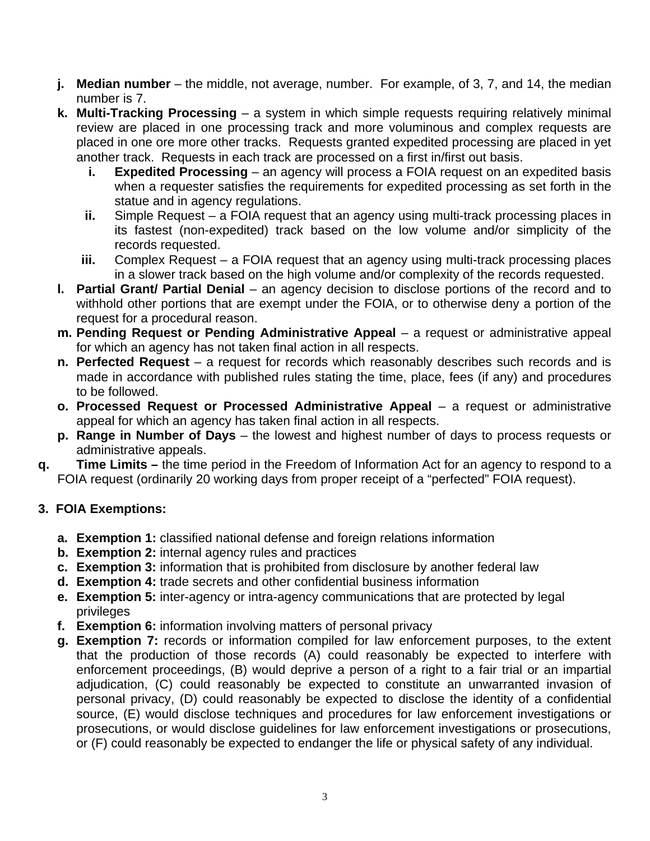- **j. Median number** the middle, not average, number. For example, of 3, 7, and 14, the median number is 7.
- **k. Multi-Tracking Processing** a system in which simple requests requiring relatively minimal review are placed in one processing track and more voluminous and complex requests are placed in one ore more other tracks. Requests granted expedited processing are placed in yet another track. Requests in each track are processed on a first in/first out basis.
	- **i.** Expedited Processing an agency will process a FOIA request on an expedited basis when a requester satisfies the requirements for expedited processing as set forth in the statue and in agency regulations.
	- **ii.** Simple Request a FOIA request that an agency using multi-track processing places in its fastest (non-expedited) track based on the low volume and/or simplicity of the records requested.
	- **iii.** Complex Request a FOIA request that an agency using multi-track processing places in a slower track based on the high volume and/or complexity of the records requested.
- **I. Partial Grant/ Partial Denial** an agency decision to disclose portions of the record and to withhold other portions that are exempt under the FOIA, or to otherwise deny a portion of the request for a procedural reason.
- **m. Pending Request or Pending Administrative Appeal**  a request or administrative appeal for which an agency has not taken final action in all respects.
- **n. Perfected Request** a request for records which reasonably describes such records and is made in accordance with published rules stating the time, place, fees (if any) and procedures to be followed.
- **o. Processed Request or Processed Administrative Appeal** a request or administrative appeal for which an agency has taken final action in all respects.
- **p. Range in Number of Days** the lowest and highest number of days to process requests or administrative appeals.
- **q. Time Limits** the time period in the Freedom of Information Act for an agency to respond to a FOIA request (ordinarily 20 working days from proper receipt of a "perfected" FOIA request).

# **3. FOIA Exemptions:**

- **a. Exemption 1:** classified national defense and foreign relations information
- **b. Exemption 2:** internal agency rules and practices
- **c. Exemption 3:** information that is prohibited from disclosure by another federal law
- **d. Exemption 4:** trade secrets and other confidential business information
- **e. Exemption 5:** inter-agency or intra-agency communications that are protected by legal privileges
- **f. Exemption 6:** information involving matters of personal privacy
- **g. Exemption 7:** records or information compiled for law enforcement purposes, to the extent that the production of those records (A) could reasonably be expected to interfere with enforcement proceedings, (B) would deprive a person of a right to a fair trial or an impartial adjudication, (C) could reasonably be expected to constitute an unwarranted invasion of personal privacy, (D) could reasonably be expected to disclose the identity of a confidential source, (E) would disclose techniques and procedures for law enforcement investigations or prosecutions, or would disclose guidelines for law enforcement investigations or prosecutions, or (F) could reasonably be expected to endanger the life or physical safety of any individual.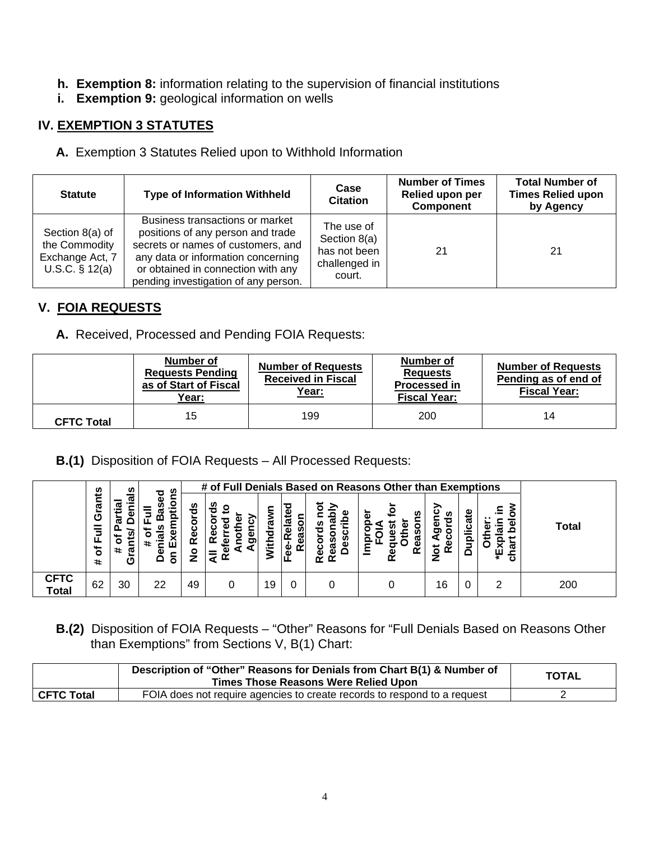- **h. Exemption 8:** information relating to the supervision of financial institutions
- **i.** Exemption 9: geological information on wells

# **IV. EXEMPTION 3 STATUTES**

**A.** Exemption 3 Statutes Relied upon to Withhold Information

| <b>Statute</b>                                                          | <b>Type of Information Withheld</b>                                                                                                                                                                                            | Case<br><b>Citation</b>                                               | <b>Number of Times</b><br>Relied upon per<br><b>Component</b> | <b>Total Number of</b><br><b>Times Relied upon</b><br>by Agency |
|-------------------------------------------------------------------------|--------------------------------------------------------------------------------------------------------------------------------------------------------------------------------------------------------------------------------|-----------------------------------------------------------------------|---------------------------------------------------------------|-----------------------------------------------------------------|
| Section 8(a) of<br>the Commodity<br>Exchange Act, 7<br>U.S.C. $§ 12(a)$ | Business transactions or market<br>positions of any person and trade<br>secrets or names of customers, and<br>any data or information concerning<br>or obtained in connection with any<br>pending investigation of any person. | The use of<br>Section 8(a)<br>has not been<br>challenged in<br>court. | 21                                                            | 21                                                              |

#### **V. FOIA REQUESTS**

**A.** Received, Processed and Pending FOIA Requests:

|                   | Number of<br><b>Requests Pending</b><br>as of Start of Fiscal<br>Year: | <b>Number of Requests</b><br><b>Received in Fiscal</b><br>Year: | Number of<br><b>Requests</b><br><b>Processed in</b><br><b>Fiscal Year:</b> | <b>Number of Requests</b><br>Pending as of end of<br><b>Fiscal Year:</b> |  |
|-------------------|------------------------------------------------------------------------|-----------------------------------------------------------------|----------------------------------------------------------------------------|--------------------------------------------------------------------------|--|
| <b>CFTC Total</b> | 15                                                                     | 199                                                             | 200                                                                        | 14                                                                       |  |

 **B.(1)** Disposition of FOIA Requests – All Processed Requests:

|                             |                                           | n                        | n                                                   |                       | # of Full Denials Based on Reasons Other than Exemptions |                     |                                                  |                                                      |                                 |                                      |     |                                       |              |
|-----------------------------|-------------------------------------------|--------------------------|-----------------------------------------------------|-----------------------|----------------------------------------------------------|---------------------|--------------------------------------------------|------------------------------------------------------|---------------------------------|--------------------------------------|-----|---------------------------------------|--------------|
|                             | rants<br>ō<br>$\bar{5}$<br>৳<br>$\ddot{}$ | π<br>$\ddot{}$<br>ℼ<br>G | ್ಠಾ<br>∼<br>o<br>ω<br>ത<br>∓.<br>Φ<br>ã<br>$\Omega$ | n<br>Φ<br>œ<br>O<br>7 | n<br>ပ<br>ω<br>ω<br>oı                                   | ø<br>횬<br>i<br>Niti | ω<br>ದ<br>n<br>Φ<br>ᠭᠣ<br>Ιœ<br>ω<br>Φ<br>œ<br>Φ | ⋗<br>ഗ<br>ā<br>m<br>ω<br>ᠭᠣ<br>ပ<br>ω<br>ω<br>≃<br>œ | o<br>n<br>ω<br>ω<br>≃<br>Φ<br>œ | n<br>ъ<br>ō<br>o<br>Φ<br>œ<br>O<br>z | ate | $\sim$<br>đ١<br>×<br>ឆ<br>ш<br>∓<br>ల | <b>Total</b> |
| <b>CFTC</b><br><b>Total</b> | 62                                        | 30                       | 22                                                  | 49                    |                                                          | 19                  | 0                                                |                                                      |                                 | 16                                   |     | າ                                     | 200          |

 **B.(2)** Disposition of FOIA Requests – "Other" Reasons for "Full Denials Based on Reasons Other than Exemptions" from Sections V, B(1) Chart:

|            | Description of "Other" Reasons for Denials from Chart B(1) & Number of<br>Times Those Reasons Were Relied Upon | <b>TOTAL</b> |
|------------|----------------------------------------------------------------------------------------------------------------|--------------|
| CFTC Total | FOIA does not require agencies to create records to respond to a request                                       |              |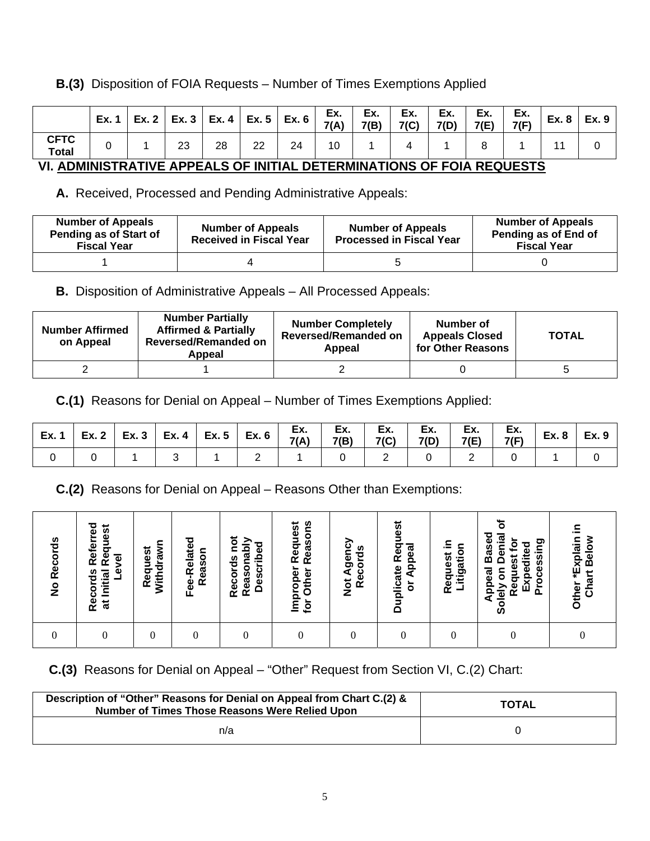#### **B.(3)** Disposition of FOIA Requests – Number of Times Exemptions Applied

|                             |  |    | Ex. 1   Ex. 2   Ex. 3   Ex. 4   Ex. 5   Ex. 6 |    |    | Ex.<br>7(A) | Ex.<br>7(B) | Ex.<br>7(C) | Ex.<br>7(D) | Ex.<br>7(E) | Ex.<br>7(F) | Ex. 8 | Ex.9 |
|-----------------------------|--|----|-----------------------------------------------|----|----|-------------|-------------|-------------|-------------|-------------|-------------|-------|------|
| <b>CFTC</b><br><b>Total</b> |  | 23 | 28                                            | 22 | 24 | 10          |             |             |             |             |             |       |      |

# **VI. ADMINISTRATIVE APPEALS OF INITIAL DETERMINATIONS OF FOIA REQUESTS**

 **A.** Received, Processed and Pending Administrative Appeals:

| <b>Number of Appeals</b><br>Pending as of Start of<br><b>Fiscal Year</b> | <b>Number of Appeals</b><br><b>Received in Fiscal Year</b> | <b>Number of Appeals</b><br><b>Processed in Fiscal Year</b> | <b>Number of Appeals</b><br>Pending as of End of<br><b>Fiscal Year</b> |
|--------------------------------------------------------------------------|------------------------------------------------------------|-------------------------------------------------------------|------------------------------------------------------------------------|
|                                                                          |                                                            |                                                             |                                                                        |

**B.** Disposition of Administrative Appeals – All Processed Appeals:

| <b>Number Affirmed</b><br>on Appeal | <b>Number Partially</b><br><b>Affirmed &amp; Partially</b><br><b>Reversed/Remanded on</b><br>Appeal | <b>Number Completely</b><br><b>Reversed/Remanded on</b><br>Appeal | Number of<br><b>Appeals Closed</b><br>for Other Reasons | <b>TOTAL</b> |
|-------------------------------------|-----------------------------------------------------------------------------------------------------|-------------------------------------------------------------------|---------------------------------------------------------|--------------|
|                                     |                                                                                                     |                                                                   |                                                         |              |

 **C.(1)** Reasons for Denial on Appeal – Number of Times Exemptions Applied:

| $ $ Ex. 1 Ex. 2 Ex. 3 Ex. 4 Ex. 5 Ex. 6 |  |  | Ex.<br>7(A) | Ex. I<br>7(B) | ' Ex.   Ex.   Ex.  <br>$7(C)$ 7(D) | 7(E) | Ex.<br>7(F) | $ $ Ex. 8 | Ex.9 |
|-----------------------------------------|--|--|-------------|---------------|------------------------------------|------|-------------|-----------|------|
|                                         |  |  |             |               |                                    |      |             |           |      |

**C.(2)** Reasons for Denial on Appeal – Reasons Other than Exemptions:

| Records<br>$\frac{1}{2}$ | Referred<br>Request<br>Level<br>at Initial<br>Records | Withdrawn<br>Request | Fee-Related<br>Reason | not<br>Reasonably<br><b>Described</b><br>Records | Reasons<br>Request<br>Improper<br>Other<br>for | Not Agency<br>Records | <b>Duplicate Request</b><br>Appeal<br>ŏ | ≘.<br>itigation<br>Request | ৳<br><b>Denial</b><br>Appeal Based<br>Request for<br>Processing<br>Expedited<br>δ<br>Solely | ≘.<br>Other *Explain<br>Chart Below |
|--------------------------|-------------------------------------------------------|----------------------|-----------------------|--------------------------------------------------|------------------------------------------------|-----------------------|-----------------------------------------|----------------------------|---------------------------------------------------------------------------------------------|-------------------------------------|
|                          |                                                       | 0                    |                       |                                                  |                                                |                       |                                         |                            |                                                                                             |                                     |

 **C.(3)** Reasons for Denial on Appeal – "Other" Request from Section VI, C.(2) Chart:

| Description of "Other" Reasons for Denial on Appeal from Chart C.(2) &<br>Number of Times Those Reasons Were Relied Upon | <b>TOTAL</b> |
|--------------------------------------------------------------------------------------------------------------------------|--------------|
| n/a                                                                                                                      |              |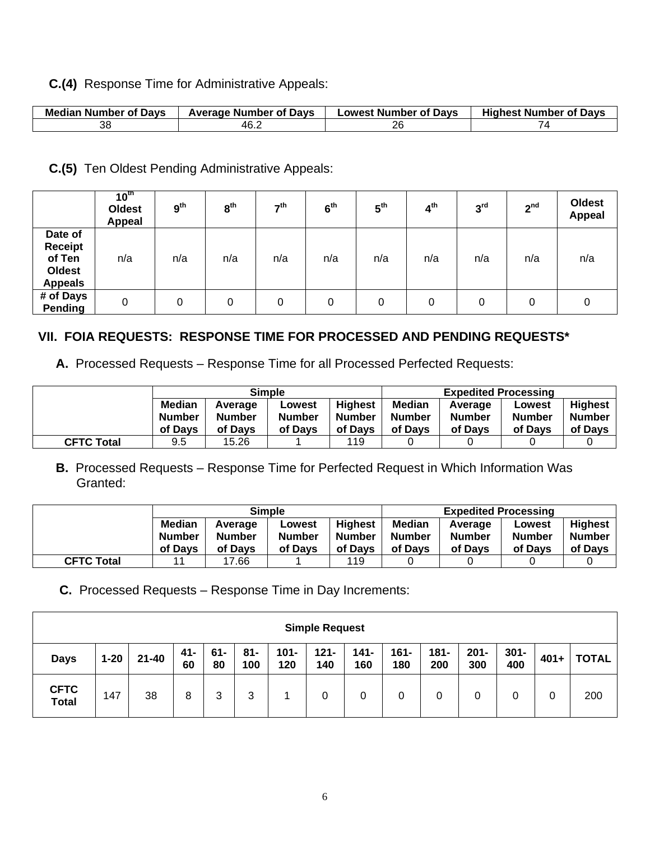#### **C.(4)** Response Time for Administrative Appeals:

| <b>Median Number of Days</b> | <b>Average Number of Davs</b> | <b>Lowest Number of Davs</b> | <b>Highest Number of Days</b> |
|------------------------------|-------------------------------|------------------------------|-------------------------------|
| 38                           | ے.46                          | ገራ<br>∠                      |                               |

**C.(5)** Ten Oldest Pending Administrative Appeals:

|                                                                        | 10 <sup>th</sup><br><b>Oldest</b><br>Appeal | 9 <sup>th</sup> | 8 <sup>th</sup> | $\mathbf{z}$ th | 6 <sup>th</sup> | $5^{\text{th}}$ | 4 <sup>th</sup> | 3 <sup>rd</sup> | 2 <sup>nd</sup> | <b>Oldest</b><br><b>Appeal</b> |
|------------------------------------------------------------------------|---------------------------------------------|-----------------|-----------------|-----------------|-----------------|-----------------|-----------------|-----------------|-----------------|--------------------------------|
| Date of<br><b>Receipt</b><br>of Ten<br><b>Oldest</b><br><b>Appeals</b> | n/a                                         | n/a             | n/a             | n/a             | n/a             | n/a             | n/a             | n/a             | n/a             | n/a                            |
| # of Days<br>Pending                                                   | 0                                           | 0               | 0               | 0               | 0               | 0               | 0               | 0               | 0               | 0                              |

### **VII. FOIA REQUESTS: RESPONSE TIME FOR PROCESSED AND PENDING REQUESTS\***

 **A.** Processed Requests – Response Time for all Processed Perfected Requests:

|                   | <b>Simple</b> |               |               |                | <b>Expedited Processing</b> |               |               |                |
|-------------------|---------------|---------------|---------------|----------------|-----------------------------|---------------|---------------|----------------|
|                   | <b>Median</b> | Average       | Lowest        | <b>Highest</b> | <b>Median</b>               | Average       | Lowest        | <b>Highest</b> |
|                   | <b>Number</b> | <b>Number</b> | <b>Number</b> | Number         | <b>Number</b>               | <b>Number</b> | <b>Number</b> | <b>Number</b>  |
|                   | of Davs       | of Davs       | of Davs       | of Davs        | of Davs                     | of Davs       | of Davs       | of Days        |
| <b>CFTC Total</b> | 9.5           | 15.26         |               | 119            |                             |               |               |                |

 **B.** Processed Requests – Response Time for Perfected Request in Which Information Was Granted:

|                   | <b>Simple</b>                             |                              |                                    |                                     | <b>Expedited Processing</b> |                                     |                                    |                                     |
|-------------------|-------------------------------------------|------------------------------|------------------------------------|-------------------------------------|-----------------------------|-------------------------------------|------------------------------------|-------------------------------------|
|                   | <b>Median</b><br><b>Number</b><br>of Davs | Average<br>Number<br>of Davs | Lowest<br><b>Number</b><br>of Davs | <b>Highest</b><br>Number<br>of Davs | Median<br>Number<br>of Davs | Average<br><b>Number</b><br>of Davs | Lowest<br><b>Number</b><br>of Davs | <b>Highest</b><br>Number<br>of Davs |
| <b>CFTC Total</b> |                                           | 17.66                        |                                    | 119                                 |                             |                                     |                                    |                                     |

**C.** Processed Requests – Response Time in Day Increments:

|                             | <b>Simple Request</b>                                                                                                                                                                                                    |    |   |   |   |  |   |   |   |   |  |   |   |     |
|-----------------------------|--------------------------------------------------------------------------------------------------------------------------------------------------------------------------------------------------------------------------|----|---|---|---|--|---|---|---|---|--|---|---|-----|
| <b>Days</b>                 | $301 -$<br>$181 -$<br>$141 -$<br>$201 -$<br>41-<br>$61 -$<br>81-<br>$101 -$<br>$121 -$<br>$161 -$<br>$21 - 40$<br><b>TOTAL</b><br>$1 - 20$<br>$401+$<br>60<br>140<br>200<br>400<br>80<br>100<br>160<br>180<br>300<br>120 |    |   |   |   |  |   |   |   |   |  |   |   |     |
| <b>CFTC</b><br><b>Total</b> | 147                                                                                                                                                                                                                      | 38 | 8 | 3 | 3 |  | 0 | 0 | 0 | 0 |  | 0 | 0 | 200 |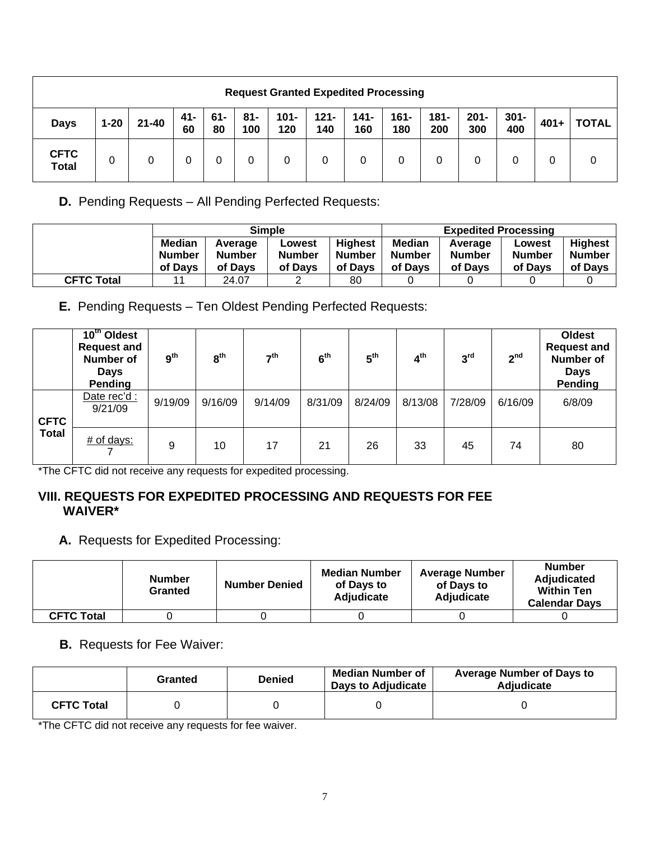|                             | <b>Request Granted Expedited Processing</b> |           |           |              |               |                |                |                |                |                |                |                |         |              |
|-----------------------------|---------------------------------------------|-----------|-----------|--------------|---------------|----------------|----------------|----------------|----------------|----------------|----------------|----------------|---------|--------------|
| <b>Days</b>                 | $1 - 20$                                    | $21 - 40$ | 41-<br>60 | $61 -$<br>80 | $81 -$<br>100 | $101 -$<br>120 | $121 -$<br>140 | $141 -$<br>160 | $161 -$<br>180 | $181 -$<br>200 | $201 -$<br>300 | $301 -$<br>400 | $401 +$ | <b>TOTAL</b> |
| <b>CFTC</b><br><b>Total</b> | 0                                           |           | 0         | 0            | 0             | 0              | 0              | 0              | 0              | 0              |                |                | 0       | 0            |

**D.** Pending Requests – All Pending Perfected Requests:

|                   |                                           |                              | <b>Simple</b>                      |                              | <b>Expedited Processing</b>        |                                     |                                    |                                     |
|-------------------|-------------------------------------------|------------------------------|------------------------------------|------------------------------|------------------------------------|-------------------------------------|------------------------------------|-------------------------------------|
|                   | <b>Median</b><br><b>Number</b><br>of Davs | Average<br>Number<br>of Davs | Lowest<br><b>Number</b><br>of Davs | Highest<br>Number<br>of Davs | <b>Median</b><br>Number<br>of Davs | Average<br><b>Number</b><br>of Davs | Lowest<br><b>Number</b><br>of Davs | <b>Highest</b><br>Number<br>of Davs |
| <b>CFTC Total</b> |                                           | 24.07                        |                                    | 80                           |                                    |                                     |                                    |                                     |

**E.** Pending Requests – Ten Oldest Pending Perfected Requests:

|              | $\overline{10^{th}$ Oldest<br><b>Request and</b><br>Number of<br><b>Days</b><br>Pending | 9 <sup>th</sup> | 8 <sup>th</sup> | $\mathbf{z}^{\text{th}}$ | 6 <sup>th</sup> | 5 <sup>th</sup> | 4 <sup>th</sup> | 3 <sup>rd</sup> | 2 <sup>nd</sup> | <b>Oldest</b><br><b>Request and</b><br><b>Number of</b><br><b>Days</b><br>Pending |
|--------------|-----------------------------------------------------------------------------------------|-----------------|-----------------|--------------------------|-----------------|-----------------|-----------------|-----------------|-----------------|-----------------------------------------------------------------------------------|
| <b>CFTC</b>  | Date rec'd :<br>9/21/09                                                                 | 9/19/09         | 9/16/09         | 9/14/09                  | 8/31/09         | 8/24/09         | 8/13/08         | 7/28/09         | 6/16/09         | 6/8/09                                                                            |
| <b>Total</b> | $#$ of days:                                                                            | 9               | 10              | 17                       | 21              | 26              | 33              | 45              | 74              | 80                                                                                |

\*The CFTC did not receive any requests for expedited processing.

#### **VIII. REQUESTS FOR EXPEDITED PROCESSING AND REQUESTS FOR FEE WAIVER\***

**A.** Requests for Expedited Processing:

|                   | <b>Number</b><br>Granted | <b>Number Denied</b> | <b>Median Number</b><br>of Days to<br>Adjudicate | <b>Average Number</b><br>of Days to<br>Adjudicate | <b>Number</b><br><b>Adjudicated</b><br><b>Within Ten</b><br><b>Calendar Days</b> |
|-------------------|--------------------------|----------------------|--------------------------------------------------|---------------------------------------------------|----------------------------------------------------------------------------------|
| <b>CFTC Total</b> |                          |                      |                                                  |                                                   |                                                                                  |

#### **B.** Requests for Fee Waiver:

|                   | Granted | <b>Denied</b> | Median Number of<br><b>Days to Adjudicate</b> | <b>Average Number of Days to</b><br><b>Adjudicate</b> |
|-------------------|---------|---------------|-----------------------------------------------|-------------------------------------------------------|
| <b>CFTC Total</b> |         |               |                                               |                                                       |

\*The CFTC did not receive any requests for fee waiver.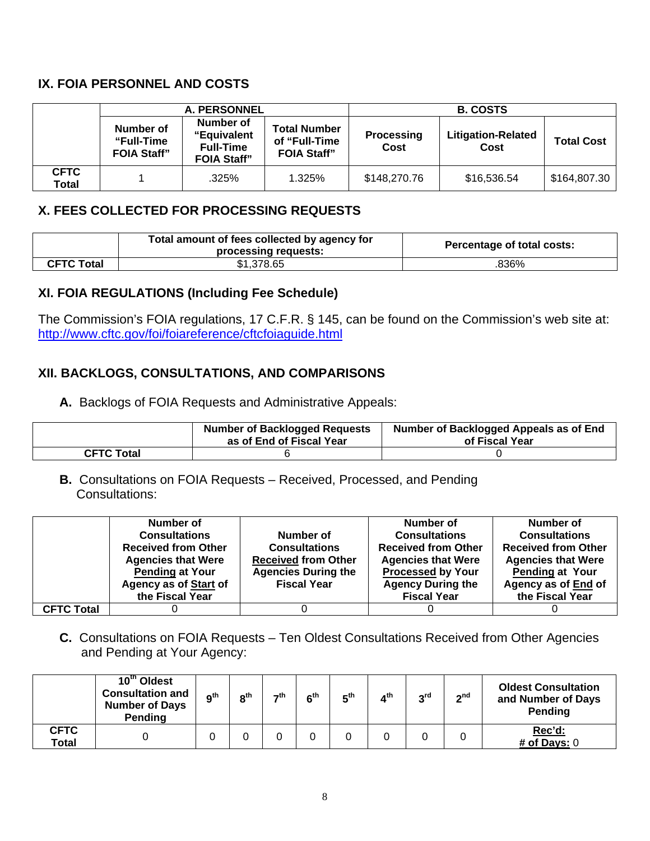#### **IX. FOIA PERSONNEL AND COSTS**

|                      |                                               | <b>A. PERSONNEL</b>                                                |                                                            | <b>B. COSTS</b>           |                                   |                   |  |
|----------------------|-----------------------------------------------|--------------------------------------------------------------------|------------------------------------------------------------|---------------------------|-----------------------------------|-------------------|--|
|                      | Number of<br>"Full-Time<br><b>FOIA Staff"</b> | Number of<br>"Equivalent<br><b>Full-Time</b><br><b>FOIA Staff"</b> | <b>Total Number</b><br>of "Full-Time<br><b>FOIA Staff"</b> | <b>Processing</b><br>Cost | <b>Litigation-Related</b><br>Cost | <b>Total Cost</b> |  |
| <b>CFTC</b><br>Total |                                               | .325%                                                              | 1.325%                                                     | \$148,270.76              | \$16,536.54                       | \$164,807.30      |  |

### **X. FEES COLLECTED FOR PROCESSING REQUESTS**

|                   | Total amount of fees collected by agency for<br>processing requests: | Percentage of total costs: |
|-------------------|----------------------------------------------------------------------|----------------------------|
| <b>CFTC Total</b> | \$1,378.65                                                           | .836%                      |

#### **XI. FOIA REGULATIONS (Including Fee Schedule)**

The Commission's FOIA regulations, 17 C.F.R. § 145, can be found on the Commission's web site at: <http://www.cftc.gov/foi/foiareference/cftcfoiaguide.html>

#### **XII. BACKLOGS, CONSULTATIONS, AND COMPARISONS**

**A.** Backlogs of FOIA Requests and Administrative Appeals:

|                   | <b>Number of Backlogged Requests</b><br>as of End of Fiscal Year | Number of Backlogged Appeals as of End<br>of Fiscal Year |
|-------------------|------------------------------------------------------------------|----------------------------------------------------------|
| <b>CFTC Total</b> |                                                                  |                                                          |

 **B.** Consultations on FOIA Requests – Received, Processed, and Pending Consultations:

|                   | Number of                    |                            | Number of                  | Number of                  |
|-------------------|------------------------------|----------------------------|----------------------------|----------------------------|
|                   | <b>Consultations</b>         | Number of                  | <b>Consultations</b>       | <b>Consultations</b>       |
|                   | <b>Received from Other</b>   | <b>Consultations</b>       | <b>Received from Other</b> | <b>Received from Other</b> |
|                   | <b>Agencies that Were</b>    | <b>Received from Other</b> | <b>Agencies that Were</b>  | <b>Agencies that Were</b>  |
|                   | <b>Pending at Your</b>       | <b>Agencies During the</b> | <b>Processed by Your</b>   | <b>Pending at Your</b>     |
|                   | <b>Agency as of Start of</b> | <b>Fiscal Year</b>         | <b>Agency During the</b>   | Agency as of End of        |
|                   | the Fiscal Year              |                            | <b>Fiscal Year</b>         | the Fiscal Year            |
| <b>CFTC Total</b> |                              |                            |                            |                            |

 **C.** Consultations on FOIA Requests – Ten Oldest Consultations Received from Other Agencies and Pending at Your Agency:

|                      | 10 <sup>th</sup> Oldest<br><b>Consultation and</b><br><b>Number of Days</b><br><b>Pending</b> | 9 <sup>th</sup> | $\mathbf{a}^{\text{th}}$ | $\rightarrow$ th | $\boldsymbol{\kappa}^{\text{th}}$ | $5^{\text{th}}$ | $\mathbf{A}$ th | "rd | $\mathbf{a}^{\text{nd}}$ | <b>Oldest Consultation</b><br>and Number of Days<br>Pending |
|----------------------|-----------------------------------------------------------------------------------------------|-----------------|--------------------------|------------------|-----------------------------------|-----------------|-----------------|-----|--------------------------|-------------------------------------------------------------|
| <b>CFTC</b><br>Total |                                                                                               |                 |                          |                  |                                   |                 |                 |     |                          | Rec'd:<br># of Days: 0                                      |